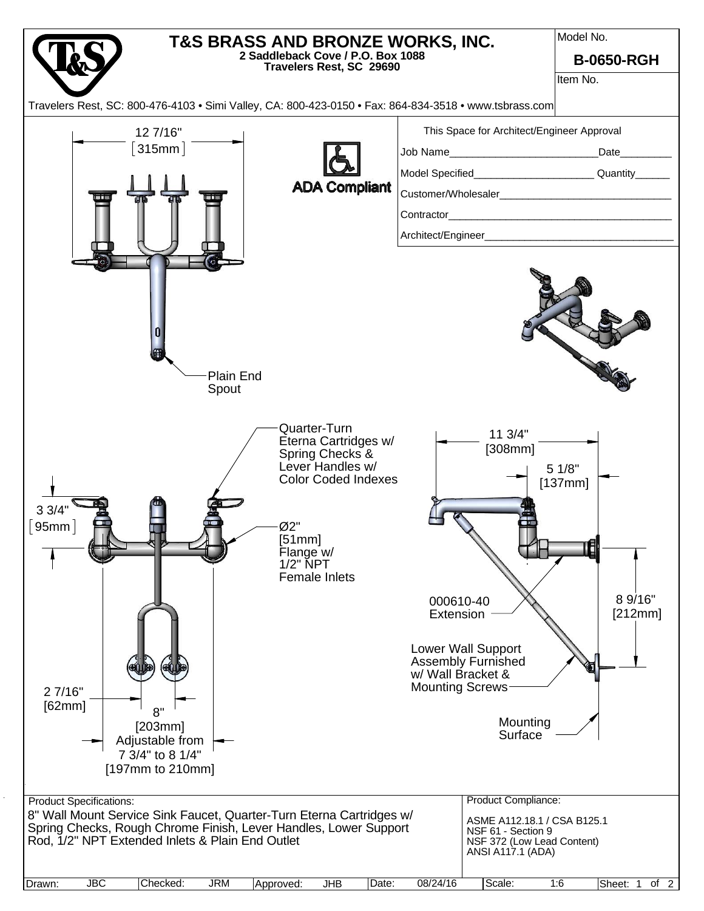